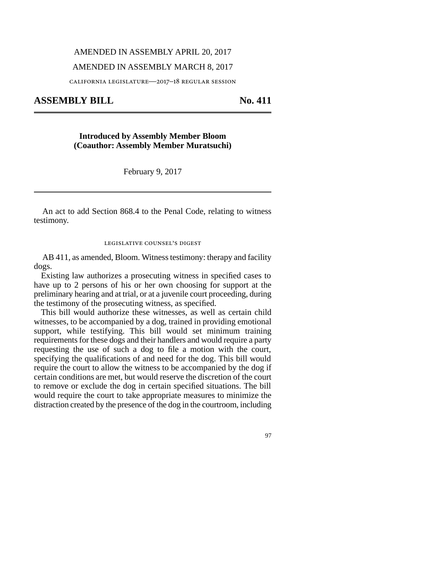## AMENDED IN ASSEMBLY APRIL 20, 2017

## AMENDED IN ASSEMBLY MARCH 8, 2017

california legislature—2017–18 regular session

**ASSEMBLY BILL No. 411** 

**Introduced by Assembly Member Bloom (Coauthor: Assembly Member Muratsuchi)**

February 9, 2017

An act to add Section 868.4 to the Penal Code, relating to witness testimony.

legislative counsel's digest

AB 411, as amended, Bloom. Witness testimony: therapy and facility dogs.

Existing law authorizes a prosecuting witness in specified cases to have up to 2 persons of his or her own choosing for support at the preliminary hearing and at trial, or at a juvenile court proceeding, during the testimony of the prosecuting witness, as specified.

This bill would authorize these witnesses, as well as certain child witnesses, to be accompanied by a dog, trained in providing emotional support, while testifying. This bill would set minimum training requirements for these dogs and their handlers and would require a party requesting the use of such a dog to file a motion with the court, specifying the qualifications of and need for the dog. This bill would require the court to allow the witness to be accompanied by the dog if certain conditions are met, but would reserve the discretion of the court to remove or exclude the dog in certain specified situations. The bill would require the court to take appropriate measures to minimize the distraction created by the presence of the dog in the courtroom, including

97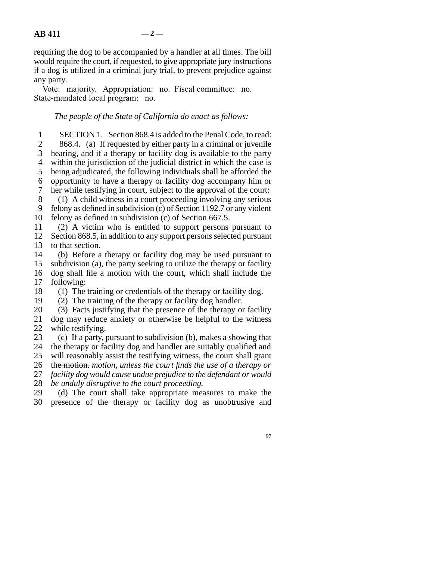requiring the dog to be accompanied by a handler at all times. The bill would require the court, if requested, to give appropriate jury instructions if a dog is utilized in a criminal jury trial, to prevent prejudice against any party.

Vote: majority. Appropriation: no. Fiscal committee: no. State-mandated local program: no.

## *The people of the State of California do enact as follows:*

1 SECTION 1. Section 868.4 is added to the Penal Code, to read: 2 868.4. (a) If requested by either party in a criminal or juvenile 3 hearing, and if a therapy or facility dog is available to the party 4 within the jurisdiction of the judicial district in which the case is 5 being adjudicated, the following individuals shall be afforded the line 6 opportunity to have a therapy or facility dog accompany him or 7 her while testifying in court, subject to the approval of the court: 8 (1) A child witness in a court proceeding involving any serious 9 felony as defined in subdivision (c) of Section 1192.7 or any violent

10 felony as defined in subdivision (c) of Section 667.5.

11 (2) A victim who is entitled to support persons pursuant to 12 Section 868.5, in addition to any support persons selected pursuant 13 to that section.

14 (b) Before a therapy or facility dog may be used pursuant to 15 subdivision (a), the party seeking to utilize the therapy or facility 16 dog shall file a motion with the court, which shall include the 17 following:

18  $\hspace{1.6cm}$  (1) The training or credentials of the therapy or facility dog.

19  $(2)$  The training of the therapy or facility dog handler.

20 (3) Facts justifying that the presence of the therapy or facility 21 dog may reduce anxiety or otherwise be helpful to the witness 22 while testifying.

23 (c) If a party, pursuant to subdivision (b), makes a showing that 24 the therapy or facility dog and handler are suitably qualified and 25 will reasonably assist the testifying witness, the court shall grant 26 the motion, motion, unless the court finds the use of a therapy or 27 *facility dog would cause undue prejudice to the defendant or would* 

28 *be unduly disruptive to the court proceeding.* 

29 (d) The court shall take appropriate measures to make the 30 presence of the therapy or facility dog as unobtrusive and

97